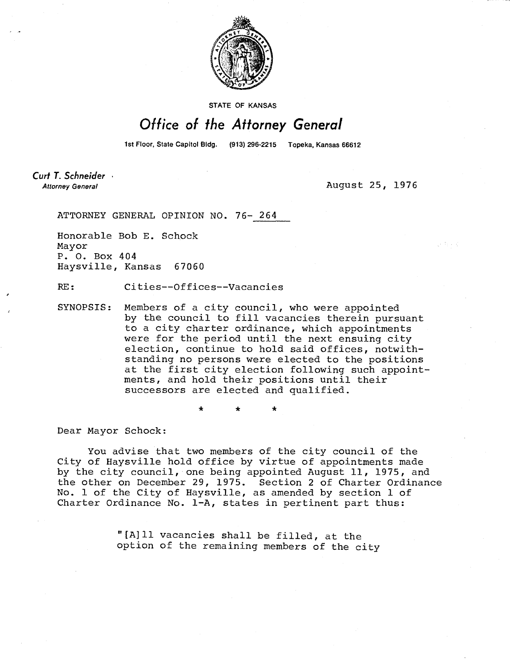

STATE OF KANSAS

## Office of the Attorney General

1st Floor, State Capitol Bldg. (913) 296-2215 Topeka, Kansas 66612

Curt T. Schneider **Attorney General** 

August 25, 1976

ATTORNEY GENERAL OPINION NO. 76- 264

Honorable Bob E. Schock Mayor P. 0. Box 404 Haysville, Kansas 67060

RE: Cities--Offices--Vacancies

SYNOPSIS: Members of a city council, who were appointed by the council to fill vacancies therein pursuant to a city charter ordinance, which appointments were for the period until the next ensuing city election, continue to hold said offices, notwithstanding no persons were elected to the positions at the first city election following such appointments, and hold their positions until their successors are elected and qualified.

Dear Mayor Schock:

You advise that two members of the city council of the City of Haysville hold office by virtue of appointments made by the city council, one being appointed August 11, 1975, and the other on December 29, 1975. Section 2 of Charter Ordinance No. 1 of the City of Haysville, as amended by section 1 of Charter Ordinance No. 1-A, states in pertinent part thus:

> "[A]ll vacancies shall be filled, at the option of the remaining members of the city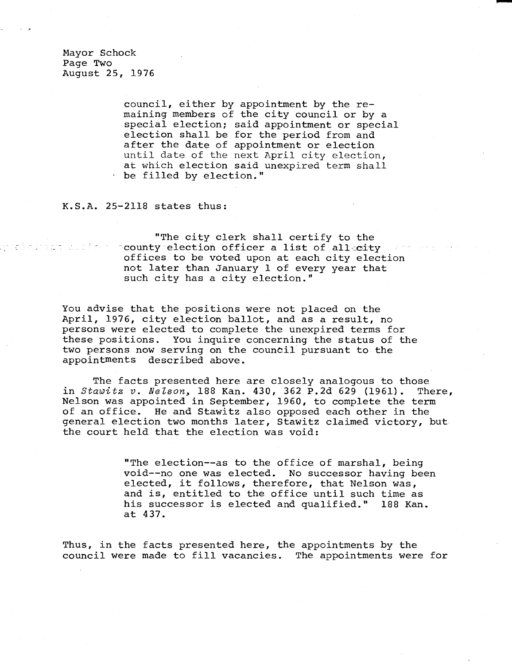Mayor Schock Page Two August 25, 1976

ny andro a voltante la contra financia del control del control del control del control del control d

council, either by appointment by the remaining members of the city council or by a special election; said appointment or special election shall be for the period from and after the date of appointment or election until date of the next April city election, at which election said unexpired term shall be filled by election."

## K.S.A. 25-2118 states thus:

"The city clerk shall certify to the hocounty election officer a list of all city offices to be voted upon at each city election not later than January 1 of every year that such city has a city election."

You advise that the positions were not placed on the April, 1976, city election ballot, and as a result, no persons were elected to complete the unexpired terms for these positions. You inquire concerning the status of the two persons now serving on the council pursuant to the appointments described above.

The facts presented here are closely analogous to those in Stawitz v. Nelson, 188 Kan. 430, 362 P.2d 629 (1961). There, Nelson was appointed in September, 1960, to complete the term of an office. He and Stawitz also opposed each other in the general election two months later, Stawitz claimed victory, but the court held that the election was void:

> "The election--as to the office of marshal, being void--no one was elected. No successor having been elected, it follows, therefore, that Nelson was, and is, entitled to the office until such time as his successor is elected and qualified." 188 Kan. at 437.

Thus, in the facts presented here, the appointments by the council were made to fill vacancies. The appointments were for